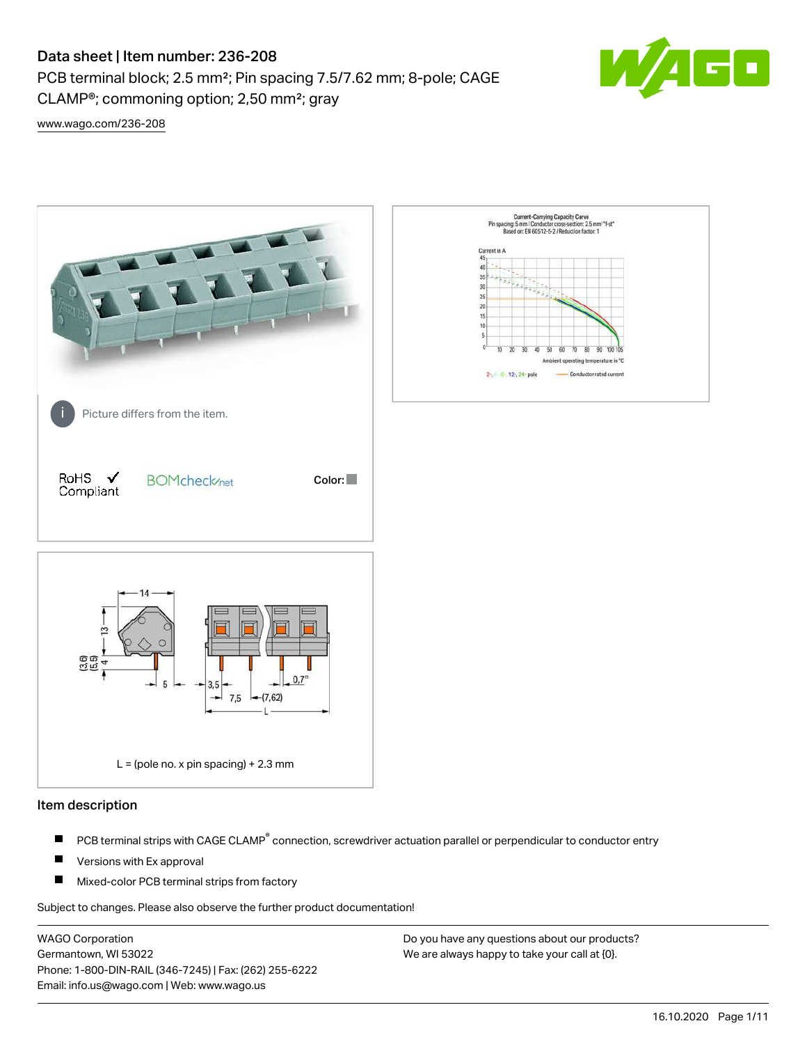PCB terminal block; 2.5 mm²; Pin spacing 7.5/7.62 mm; 8-pole; CAGE CLAMP®; commoning option; 2,50 mm²; gray



[www.wago.com/236-208](http://www.wago.com/236-208)



### Item description

- PCB terminal strips with CAGE CLAMP<sup>®</sup> connection, screwdriver actuation parallel or perpendicular to conductor entry П
- П Versions with Ex approval
- П Mixed-color PCB terminal strips from factory

Subject to changes. Please also observe the further product documentation!

WAGO Corporation Germantown, WI 53022 Phone: 1-800-DIN-RAIL (346-7245) | Fax: (262) 255-6222 Email: info.us@wago.com | Web: www.wago.us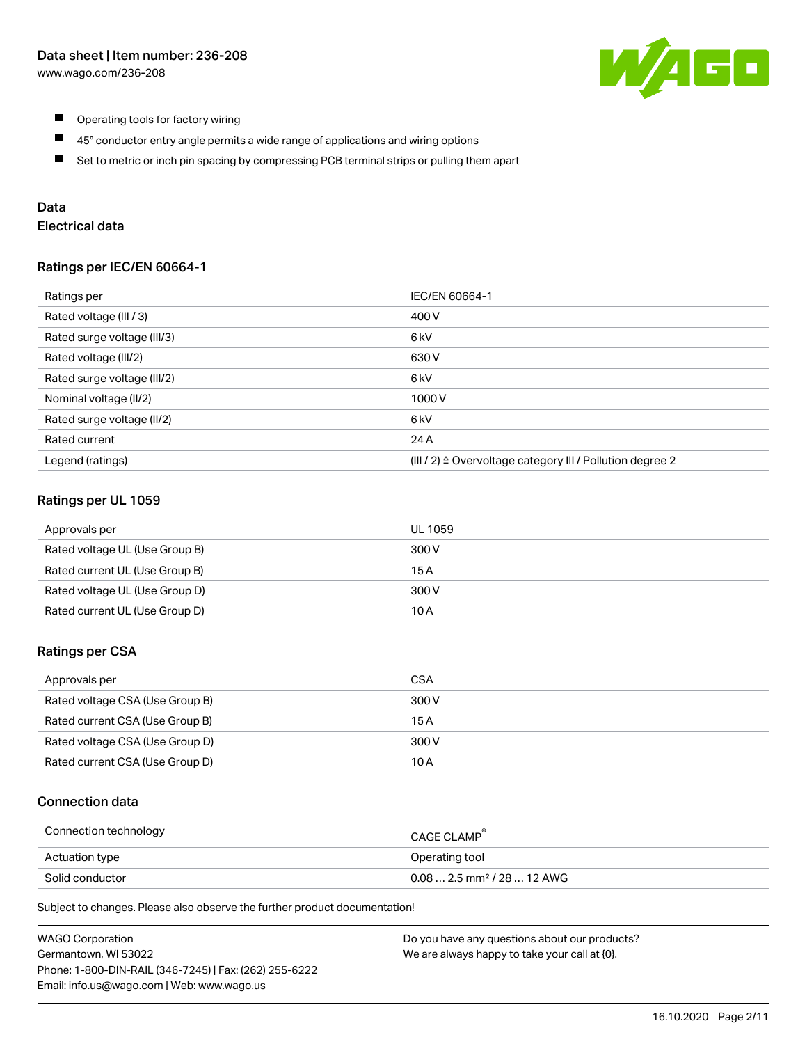

- $\blacksquare$ Operating tools for factory wiring
- $\blacksquare$ 45° conductor entry angle permits a wide range of applications and wiring options
- $\blacksquare$ Set to metric or inch pin spacing by compressing PCB terminal strips or pulling them apart

### Data

# Electrical data

### Ratings per IEC/EN 60664-1

| Ratings per                 | IEC/EN 60664-1                                                        |
|-----------------------------|-----------------------------------------------------------------------|
| Rated voltage (III / 3)     | 400 V                                                                 |
| Rated surge voltage (III/3) | 6 <sub>kV</sub>                                                       |
| Rated voltage (III/2)       | 630 V                                                                 |
| Rated surge voltage (III/2) | 6 <sub>k</sub> V                                                      |
| Nominal voltage (II/2)      | 1000V                                                                 |
| Rated surge voltage (II/2)  | 6 kV                                                                  |
| Rated current               | 24 A                                                                  |
| Legend (ratings)            | $(III / 2)$ $\triangle$ Overvoltage category III / Pollution degree 2 |

### Ratings per UL 1059

| Approvals per                  | UL 1059 |
|--------------------------------|---------|
| Rated voltage UL (Use Group B) | 300 V   |
| Rated current UL (Use Group B) | 15 A    |
| Rated voltage UL (Use Group D) | 300 V   |
| Rated current UL (Use Group D) | 10 A    |

### Ratings per CSA

| Approvals per                   | CSA   |
|---------------------------------|-------|
| Rated voltage CSA (Use Group B) | 300 V |
| Rated current CSA (Use Group B) | 15 A  |
| Rated voltage CSA (Use Group D) | 300 V |
| Rated current CSA (Use Group D) | 10 A  |

### Connection data

| Connection technology | CAGE CLAMP                              |
|-----------------------|-----------------------------------------|
| Actuation type        | Operating tool                          |
| Solid conductor       | $0.08$ 2.5 mm <sup>2</sup> / 28  12 AWG |

Subject to changes. Please also observe the further product documentation!

| <b>WAGO Corporation</b>                                | Do you have any questions about our products? |
|--------------------------------------------------------|-----------------------------------------------|
| Germantown, WI 53022                                   | We are always happy to take your call at {0}. |
| Phone: 1-800-DIN-RAIL (346-7245)   Fax: (262) 255-6222 |                                               |
| Email: info.us@wago.com   Web: www.wago.us             |                                               |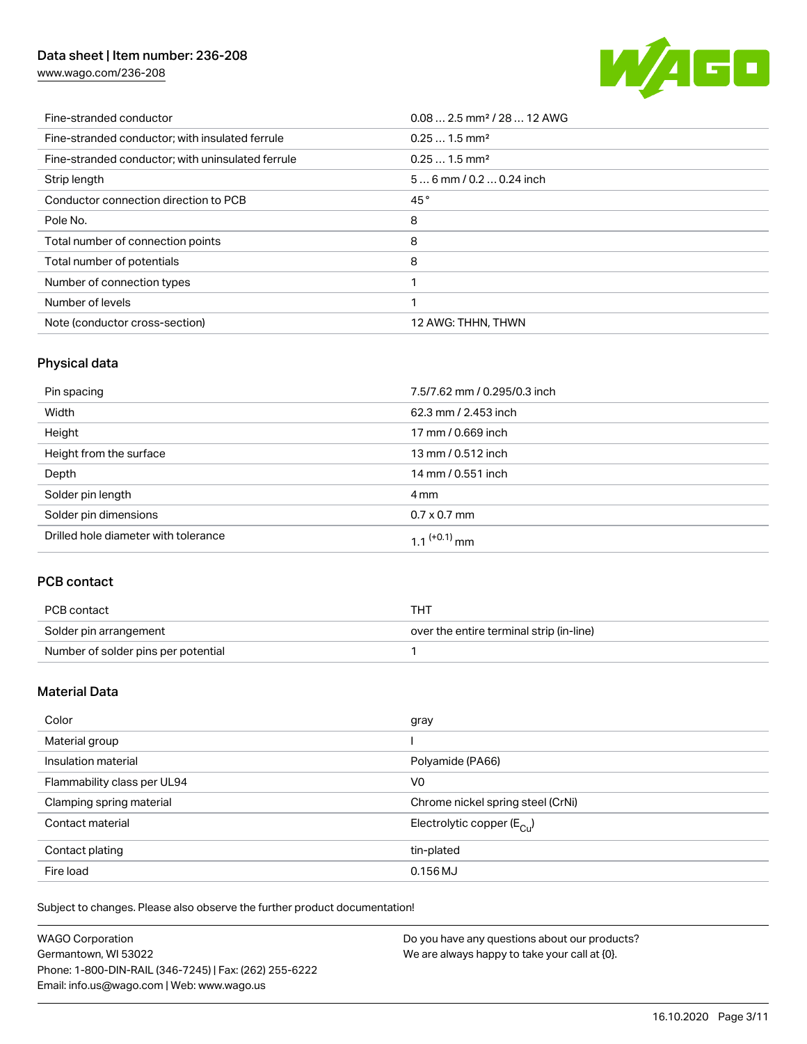[www.wago.com/236-208](http://www.wago.com/236-208)



| Fine-stranded conductor                           | $0.08$ 2.5 mm <sup>2</sup> / 28  12 AWG |
|---------------------------------------------------|-----------------------------------------|
| Fine-stranded conductor; with insulated ferrule   | $0.251.5$ mm <sup>2</sup>               |
| Fine-stranded conductor; with uninsulated ferrule | $0.251.5$ mm <sup>2</sup>               |
| Strip length                                      | $56$ mm / 0.2  0.24 inch                |
| Conductor connection direction to PCB             | 45°                                     |
| Pole No.                                          | 8                                       |
| Total number of connection points                 | 8                                       |
| Total number of potentials                        | 8                                       |
| Number of connection types                        |                                         |
| Number of levels                                  |                                         |
| Note (conductor cross-section)                    | 12 AWG: THHN, THWN                      |

# Physical data

| Pin spacing                          | 7.5/7.62 mm / 0.295/0.3 inch |
|--------------------------------------|------------------------------|
| Width                                | 62.3 mm / 2.453 inch         |
| Height                               | 17 mm / 0.669 inch           |
| Height from the surface              | 13 mm / 0.512 inch           |
| Depth                                | 14 mm / 0.551 inch           |
| Solder pin length                    | 4 mm                         |
| Solder pin dimensions                | $0.7 \times 0.7$ mm          |
| Drilled hole diameter with tolerance | $1.1$ <sup>(+0.1)</sup> mm   |

# PCB contact

| PCB contact                         | THT                                      |
|-------------------------------------|------------------------------------------|
| Solder pin arrangement              | over the entire terminal strip (in-line) |
| Number of solder pins per potential |                                          |

# Material Data

| Color                       | gray                                  |
|-----------------------------|---------------------------------------|
| Material group              |                                       |
| Insulation material         | Polyamide (PA66)                      |
| Flammability class per UL94 | V <sub>0</sub>                        |
| Clamping spring material    | Chrome nickel spring steel (CrNi)     |
| Contact material            | Electrolytic copper $(E_{\text{CL}})$ |
| Contact plating             | tin-plated                            |
| Fire load                   | $0.156$ MJ                            |

Subject to changes. Please also observe the further product documentation!

| <b>WAGO Corporation</b>                                | Do you have any questions about our products? |
|--------------------------------------------------------|-----------------------------------------------|
| Germantown, WI 53022                                   | We are always happy to take your call at {0}. |
| Phone: 1-800-DIN-RAIL (346-7245)   Fax: (262) 255-6222 |                                               |
| Email: info.us@wago.com   Web: www.wago.us             |                                               |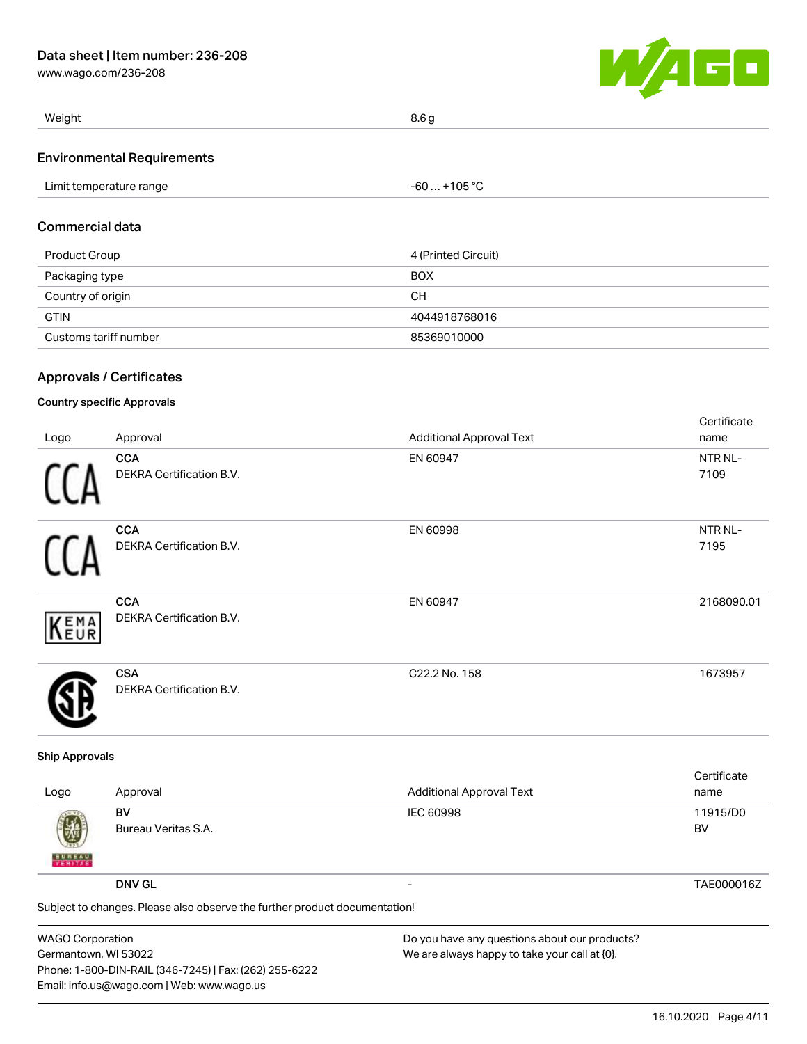[www.wago.com/236-208](http://www.wago.com/236-208)



| Weight                            | 8.6 g |
|-----------------------------------|-------|
| <b>Environmental Requirements</b> |       |

### Commercial data

| Product Group         | 4 (Printed Circuit) |
|-----------------------|---------------------|
| Packaging type        | <b>BOX</b>          |
| Country of origin     | CН                  |
| <b>GTIN</b>           | 4044918768016       |
| Customs tariff number | 85369010000         |

### Approvals / Certificates

### Country specific Approvals

|              |                                               |                                 | Certificate     |
|--------------|-----------------------------------------------|---------------------------------|-----------------|
| Logo         | Approval                                      | <b>Additional Approval Text</b> | name            |
| 11           | <b>CCA</b><br><b>DEKRA Certification B.V.</b> | EN 60947                        | NTR NL-<br>7109 |
| <sup>1</sup> | <b>CCA</b><br><b>DEKRA Certification B.V.</b> | EN 60998                        | NTR NL-<br>7195 |
| KEMA         | <b>CCA</b><br><b>DEKRA Certification B.V.</b> | EN 60947                        | 2168090.01      |
|              | <b>CSA</b><br><b>DEKRA Certification B.V.</b> | C22.2 No. 158                   | 1673957         |

### Ship Approvals

| Logo                                                                       | Approval                  | <b>Additional Approval Text</b> | Certificate<br>name |
|----------------------------------------------------------------------------|---------------------------|---------------------------------|---------------------|
| 國<br><b>BUREAU</b>                                                         | BV<br>Bureau Veritas S.A. | IEC 60998                       | 11915/D0<br>BV      |
|                                                                            | <b>DNV GL</b>             | $\overline{\phantom{0}}$        | TAE000016Z          |
| Subject to changes. Please also observe the further product documentation! |                           |                                 |                     |
|                                                                            |                           |                                 |                     |

| <b>WAGO Corporation</b>                                |
|--------------------------------------------------------|
| Germantown, WI 53022                                   |
| Phone: 1-800-DIN-RAIL (346-7245)   Fax: (262) 255-6222 |
| Email: info.us@wago.com   Web: www.wago.us             |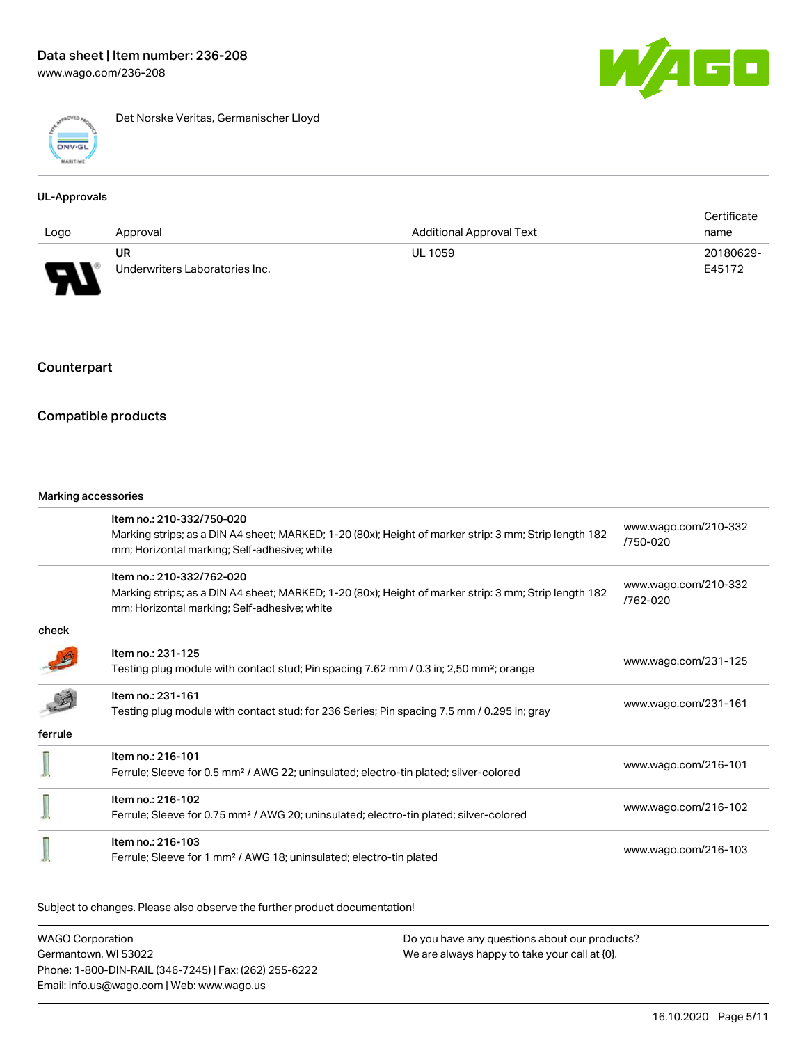

Det Norske Veritas, Germanischer Lloyd

### UL-Approvals

|      |                                |                                 | Certificate |
|------|--------------------------------|---------------------------------|-------------|
| Logo | Approval                       | <b>Additional Approval Text</b> | name        |
|      | UR                             | <b>UL 1059</b>                  | 20180629-   |
| J    | Underwriters Laboratories Inc. |                                 | E45172      |

# **Counterpart**

### Compatible products

#### Marking accessories

| Item no.: 210-332/750-020<br>Marking strips; as a DIN A4 sheet; MARKED; 1-20 (80x); Height of marker strip: 3 mm; Strip length 182<br>mm; Horizontal marking; Self-adhesive; white | www.wago.com/210-332<br>/750-020 |
|------------------------------------------------------------------------------------------------------------------------------------------------------------------------------------|----------------------------------|
| Item no.: 210-332/762-020<br>Marking strips; as a DIN A4 sheet; MARKED; 1-20 (80x); Height of marker strip: 3 mm; Strip length 182<br>mm; Horizontal marking; Self-adhesive; white | www.wago.com/210-332<br>/762-020 |
|                                                                                                                                                                                    |                                  |
| Item no.: 231-125<br>Testing plug module with contact stud; Pin spacing 7.62 mm / 0.3 in; 2,50 mm <sup>2</sup> ; orange                                                            | www.wago.com/231-125             |
| Item no.: 231-161<br>Testing plug module with contact stud; for 236 Series; Pin spacing 7.5 mm / 0.295 in; gray                                                                    | www.wago.com/231-161             |
|                                                                                                                                                                                    |                                  |
| Item no.: 216-101<br>Ferrule; Sleeve for 0.5 mm <sup>2</sup> / AWG 22; uninsulated; electro-tin plated; silver-colored                                                             | www.wago.com/216-101             |
| Item no.: 216-102<br>Ferrule; Sleeve for 0.75 mm <sup>2</sup> / AWG 20; uninsulated; electro-tin plated; silver-colored                                                            | www.wago.com/216-102             |
| Item no.: 216-103<br>Ferrule; Sleeve for 1 mm <sup>2</sup> / AWG 18; uninsulated; electro-tin plated                                                                               | www.wago.com/216-103             |
|                                                                                                                                                                                    |                                  |

Subject to changes. Please also observe the further product documentation!

WAGO Corporation Germantown, WI 53022 Phone: 1-800-DIN-RAIL (346-7245) | Fax: (262) 255-6222 Email: info.us@wago.com | Web: www.wago.us Do you have any questions about our products? We are always happy to take your call at {0}.

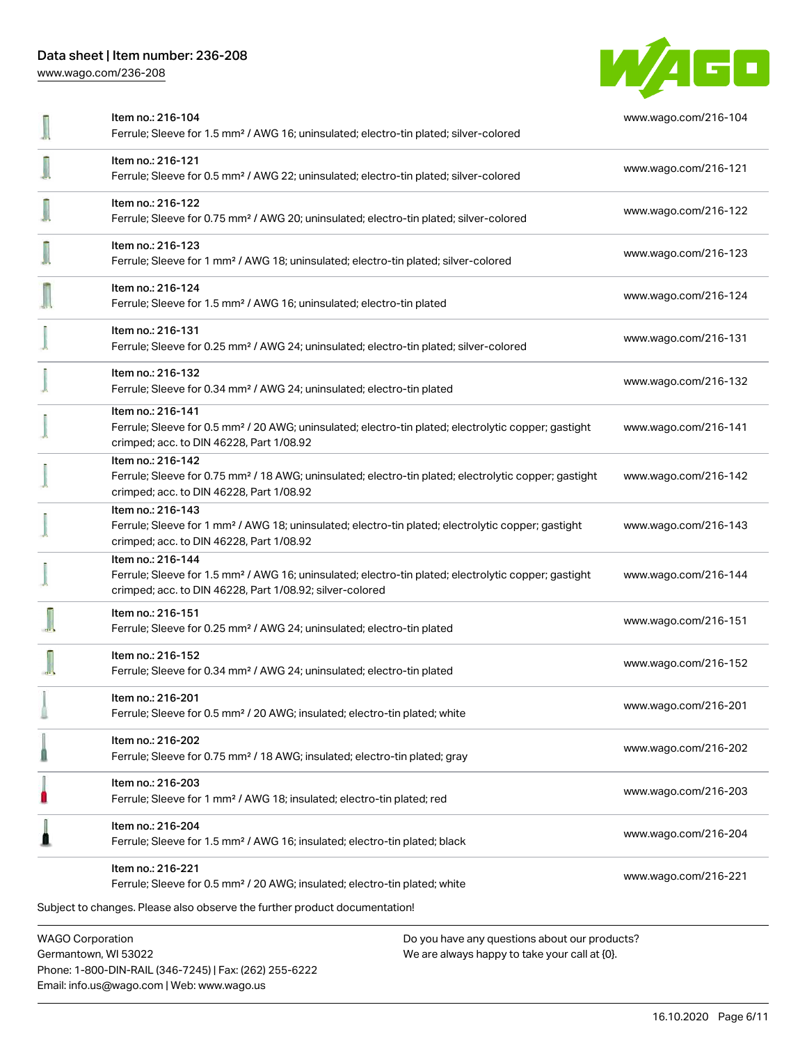[www.wago.com/236-208](http://www.wago.com/236-208)



| Item no.: 216-104<br>Ferrule; Sleeve for 1.5 mm <sup>2</sup> / AWG 16; uninsulated; electro-tin plated; silver-colored                                                                            | www.wago.com/216-104 |
|---------------------------------------------------------------------------------------------------------------------------------------------------------------------------------------------------|----------------------|
| Item no.: 216-121<br>Ferrule; Sleeve for 0.5 mm <sup>2</sup> / AWG 22; uninsulated; electro-tin plated; silver-colored                                                                            | www.wago.com/216-121 |
| Item no.: 216-122<br>Ferrule; Sleeve for 0.75 mm <sup>2</sup> / AWG 20; uninsulated; electro-tin plated; silver-colored                                                                           | www.wago.com/216-122 |
| Item no.: 216-123<br>Ferrule; Sleeve for 1 mm <sup>2</sup> / AWG 18; uninsulated; electro-tin plated; silver-colored                                                                              | www.wago.com/216-123 |
| Item no.: 216-124<br>Ferrule; Sleeve for 1.5 mm <sup>2</sup> / AWG 16; uninsulated; electro-tin plated                                                                                            | www.wago.com/216-124 |
| Item no.: 216-131<br>Ferrule; Sleeve for 0.25 mm <sup>2</sup> / AWG 24; uninsulated; electro-tin plated; silver-colored                                                                           | www.wago.com/216-131 |
| Item no.: 216-132<br>Ferrule; Sleeve for 0.34 mm <sup>2</sup> / AWG 24; uninsulated; electro-tin plated                                                                                           | www.wago.com/216-132 |
| Item no.: 216-141<br>Ferrule; Sleeve for 0.5 mm <sup>2</sup> / 20 AWG; uninsulated; electro-tin plated; electrolytic copper; gastight<br>crimped; acc. to DIN 46228, Part 1/08.92                 | www.wago.com/216-141 |
| Item no.: 216-142<br>Ferrule; Sleeve for 0.75 mm <sup>2</sup> / 18 AWG; uninsulated; electro-tin plated; electrolytic copper; gastight<br>crimped; acc. to DIN 46228, Part 1/08.92                | www.wago.com/216-142 |
| Item no.: 216-143<br>Ferrule; Sleeve for 1 mm <sup>2</sup> / AWG 18; uninsulated; electro-tin plated; electrolytic copper; gastight<br>crimped; acc. to DIN 46228, Part 1/08.92                   | www.wago.com/216-143 |
| Item no.: 216-144<br>Ferrule; Sleeve for 1.5 mm <sup>2</sup> / AWG 16; uninsulated; electro-tin plated; electrolytic copper; gastight<br>crimped; acc. to DIN 46228, Part 1/08.92; silver-colored | www.wago.com/216-144 |
| Item no.: 216-151<br>Ferrule; Sleeve for 0.25 mm <sup>2</sup> / AWG 24; uninsulated; electro-tin plated                                                                                           | www.wago.com/216-151 |
| Item no.: 216-152<br>Ferrule; Sleeve for 0.34 mm <sup>2</sup> / AWG 24; uninsulated; electro-tin plated                                                                                           | www.wago.com/216-152 |
| Item no.: 216-201<br>Ferrule; Sleeve for 0.5 mm <sup>2</sup> / 20 AWG; insulated; electro-tin plated; white                                                                                       | www.wago.com/216-201 |
| Item no.: 216-202<br>Ferrule; Sleeve for 0.75 mm <sup>2</sup> / 18 AWG; insulated; electro-tin plated; gray                                                                                       | www.wago.com/216-202 |
| Item no.: 216-203<br>Ferrule; Sleeve for 1 mm <sup>2</sup> / AWG 18; insulated; electro-tin plated; red                                                                                           | www.wago.com/216-203 |
| Item no.: 216-204<br>Ferrule; Sleeve for 1.5 mm <sup>2</sup> / AWG 16; insulated; electro-tin plated; black                                                                                       | www.wago.com/216-204 |
| Item no.: 216-221<br>Ferrule; Sleeve for 0.5 mm <sup>2</sup> / 20 AWG; insulated; electro-tin plated; white                                                                                       | www.wago.com/216-221 |
| Subject to changes. Please also observe the further product documentation!                                                                                                                        |                      |
| <b>WAGO Corporation</b><br>Do you have any questions about our products?                                                                                                                          |                      |

Germantown, WI 53022 Phone: 1-800-DIN-RAIL (346-7245) | Fax: (262) 255-6222 Email: info.us@wago.com | Web: www.wago.us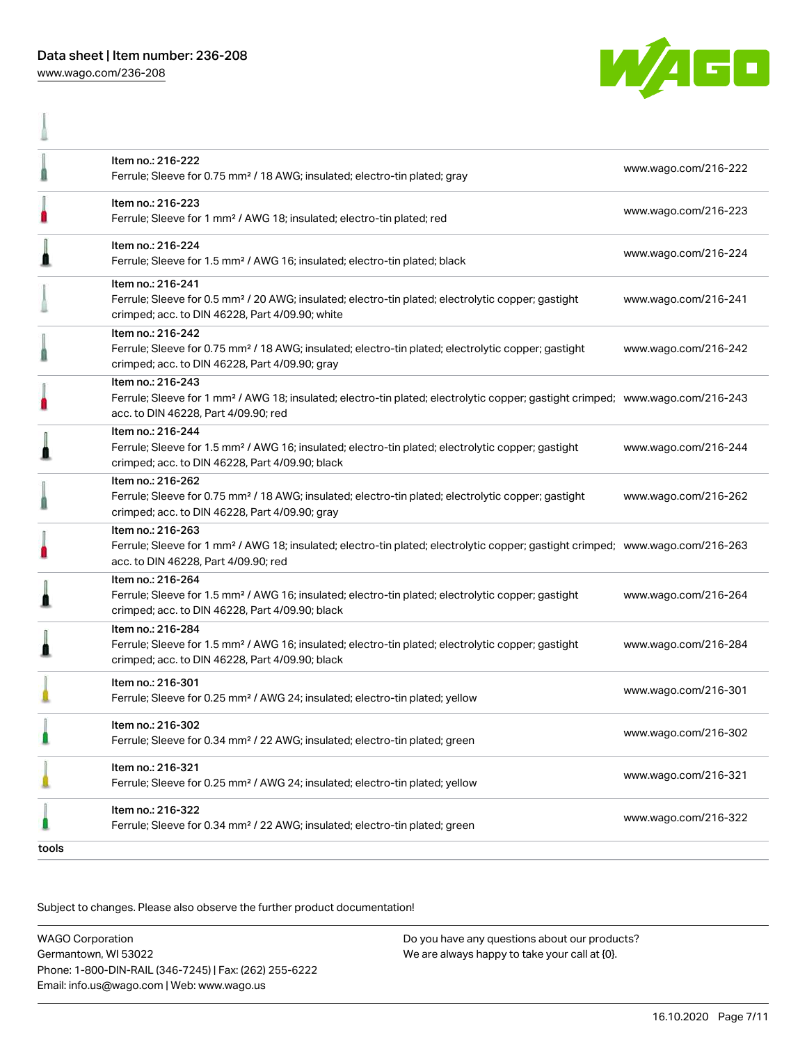

I



|       | Item no.: 216-222                                                                                                                                                                                       |                      |
|-------|---------------------------------------------------------------------------------------------------------------------------------------------------------------------------------------------------------|----------------------|
|       | Ferrule; Sleeve for 0.75 mm <sup>2</sup> / 18 AWG; insulated; electro-tin plated; gray                                                                                                                  | www.wago.com/216-222 |
| n     | Item no.: 216-223<br>Ferrule; Sleeve for 1 mm <sup>2</sup> / AWG 18; insulated; electro-tin plated; red                                                                                                 | www.wago.com/216-223 |
|       | Item no.: 216-224<br>Ferrule; Sleeve for 1.5 mm <sup>2</sup> / AWG 16; insulated; electro-tin plated; black                                                                                             | www.wago.com/216-224 |
|       | Item no.: 216-241<br>Ferrule; Sleeve for 0.5 mm <sup>2</sup> / 20 AWG; insulated; electro-tin plated; electrolytic copper; gastight<br>crimped; acc. to DIN 46228, Part 4/09.90; white                  | www.wago.com/216-241 |
|       | Item no.: 216-242<br>Ferrule; Sleeve for 0.75 mm <sup>2</sup> / 18 AWG; insulated; electro-tin plated; electrolytic copper; gastight<br>crimped; acc. to DIN 46228, Part 4/09.90; gray                  | www.wago.com/216-242 |
| Ω     | Item no.: 216-243<br>Ferrule; Sleeve for 1 mm <sup>2</sup> / AWG 18; insulated; electro-tin plated; electrolytic copper; gastight crimped; www.wago.com/216-243<br>acc. to DIN 46228, Part 4/09.90; red |                      |
|       | Item no.: 216-244<br>Ferrule; Sleeve for 1.5 mm <sup>2</sup> / AWG 16; insulated; electro-tin plated; electrolytic copper; gastight<br>crimped; acc. to DIN 46228, Part 4/09.90; black                  | www.wago.com/216-244 |
|       | Item no.: 216-262<br>Ferrule; Sleeve for 0.75 mm <sup>2</sup> / 18 AWG; insulated; electro-tin plated; electrolytic copper; gastight<br>crimped; acc. to DIN 46228, Part 4/09.90; gray                  | www.wago.com/216-262 |
|       | Item no.: 216-263<br>Ferrule; Sleeve for 1 mm <sup>2</sup> / AWG 18; insulated; electro-tin plated; electrolytic copper; gastight crimped; www.wago.com/216-263<br>acc. to DIN 46228, Part 4/09.90; red |                      |
|       | Item no.: 216-264<br>Ferrule; Sleeve for 1.5 mm <sup>2</sup> / AWG 16; insulated; electro-tin plated; electrolytic copper; gastight<br>crimped; acc. to DIN 46228, Part 4/09.90; black                  | www.wago.com/216-264 |
|       | Item no.: 216-284<br>Ferrule; Sleeve for 1.5 mm <sup>2</sup> / AWG 16; insulated; electro-tin plated; electrolytic copper; gastight<br>crimped; acc. to DIN 46228, Part 4/09.90; black                  | www.wago.com/216-284 |
|       | Item no.: 216-301<br>Ferrule; Sleeve for 0.25 mm <sup>2</sup> / AWG 24; insulated; electro-tin plated; yellow                                                                                           | www.wago.com/216-301 |
|       | Item no.: 216-302<br>Ferrule; Sleeve for 0.34 mm <sup>2</sup> / 22 AWG; insulated; electro-tin plated; green                                                                                            | www.wago.com/216-302 |
|       | Item no.: 216-321<br>Ferrule; Sleeve for 0.25 mm <sup>2</sup> / AWG 24; insulated; electro-tin plated; yellow                                                                                           | www.wago.com/216-321 |
|       | Item no.: 216-322<br>Ferrule; Sleeve for 0.34 mm <sup>2</sup> / 22 AWG; insulated; electro-tin plated; green                                                                                            | www.wago.com/216-322 |
| tools |                                                                                                                                                                                                         |                      |

Subject to changes. Please also observe the further product documentation!

WAGO Corporation Germantown, WI 53022 Phone: 1-800-DIN-RAIL (346-7245) | Fax: (262) 255-6222 Email: info.us@wago.com | Web: www.wago.us Do you have any questions about our products? We are always happy to take your call at {0}.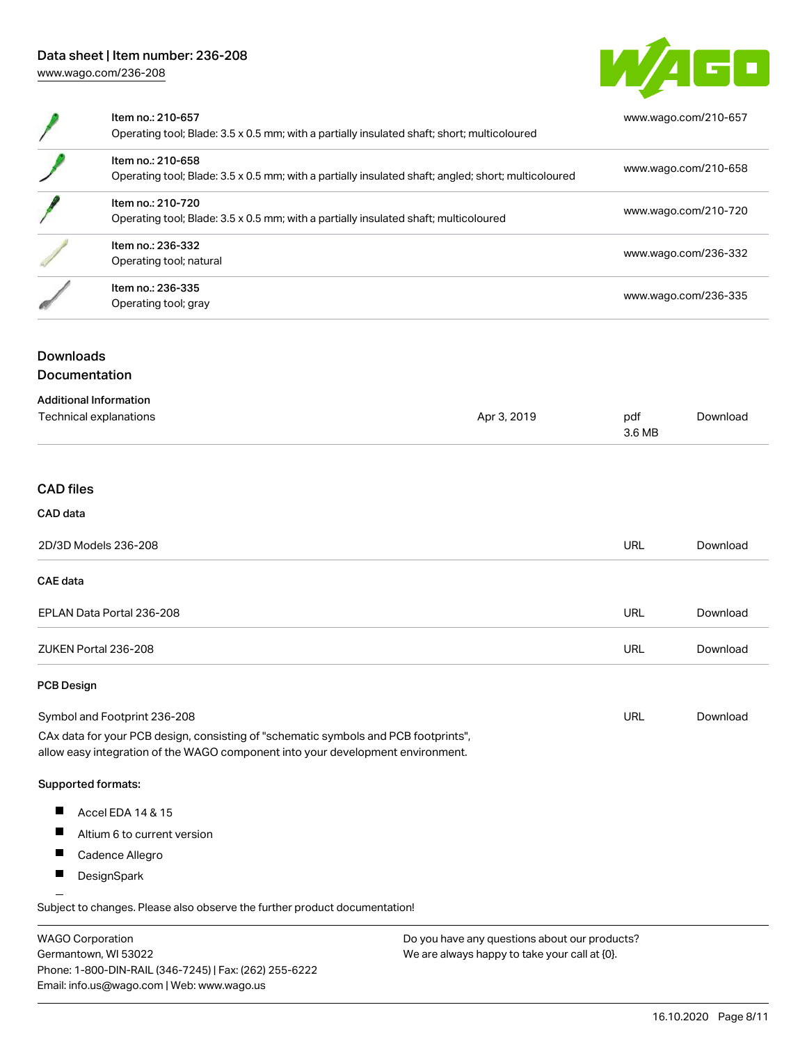

| Item no.: 210-657<br>Operating tool; Blade: 3.5 x 0.5 mm; with a partially insulated shaft; short; multicoloured         | www.wago.com/210-657 |
|--------------------------------------------------------------------------------------------------------------------------|----------------------|
| Item no.: 210-658<br>Operating tool; Blade: 3.5 x 0.5 mm; with a partially insulated shaft; angled; short; multicoloured | www.wago.com/210-658 |
| Item no.: 210-720<br>Operating tool; Blade: 3.5 x 0.5 mm; with a partially insulated shaft; multicoloured                | www.wago.com/210-720 |
| Item no.: 236-332<br>Operating tool; natural                                                                             | www.wago.com/236-332 |
| Item no.: 236-335<br>Operating tool; gray                                                                                | www.wago.com/236-335 |

# Downloads Documentation

| <b>Additional Information</b> |             |               |          |
|-------------------------------|-------------|---------------|----------|
| Technical explanations        | Apr 3, 2019 | pdf<br>3.6 MB | Download |
|                               |             |               |          |

### CAD files

### CAD data

| 2D/3D Models 236-208      | URL | Download |
|---------------------------|-----|----------|
| <b>CAE data</b>           |     |          |
| EPLAN Data Portal 236-208 | URL | Download |
| ZUKEN Portal 236-208      | URL | Download |

### PCB Design

| Symbol and Footprint 236-208                                                        | URL | Download |
|-------------------------------------------------------------------------------------|-----|----------|
| CAx data for your PCB design, consisting of "schematic symbols and PCB footprints", |     |          |

allow easy integration of the WAGO component into your development environment.

### Supported formats:

- $\blacksquare$ Accel EDA 14 & 15
- $\blacksquare$ Altium 6 to current version
- $\blacksquare$ Cadence Allegro
- $\blacksquare$ **DesignSpark**

Subject to changes. Please also observe the further product documentation! Eagle Libraries

| <b>WAGO Corporation</b>                                | Do you have any questions about our products? |
|--------------------------------------------------------|-----------------------------------------------|
| Germantown, WI 53022                                   | We are always happy to take your call at {0}. |
| Phone: 1-800-DIN-RAIL (346-7245)   Fax: (262) 255-6222 |                                               |
| Email: info.us@wago.com   Web: www.wago.us             |                                               |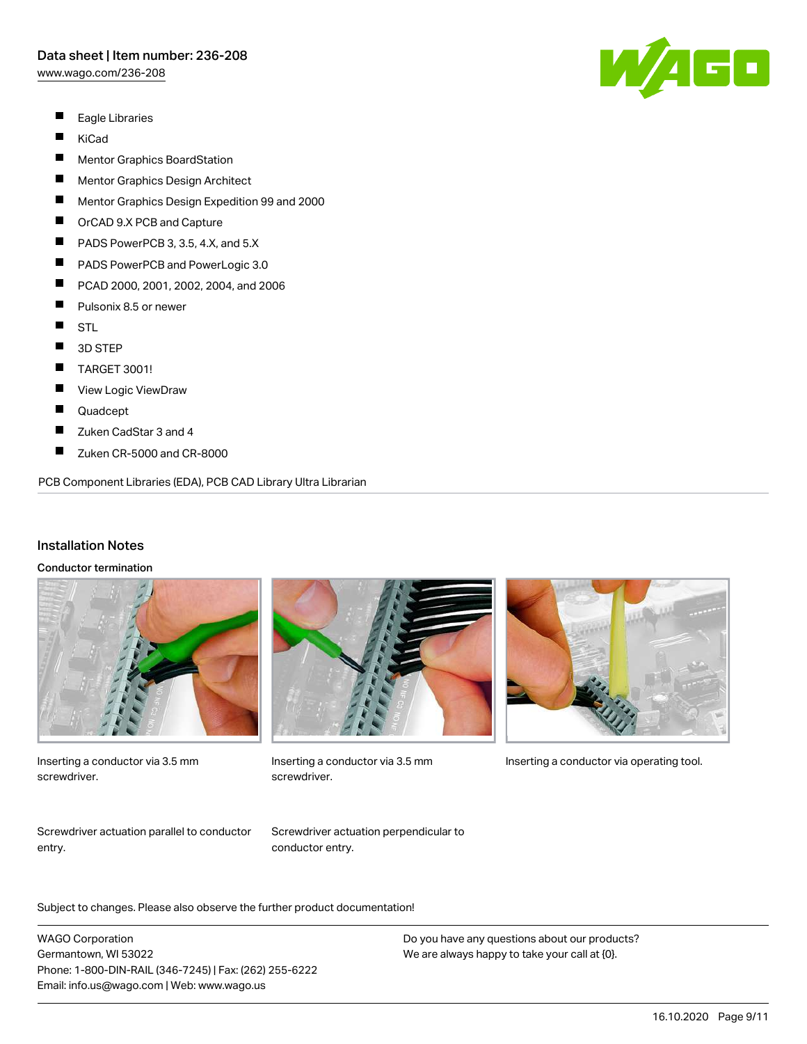[www.wago.com/236-208](http://www.wago.com/236-208)

- $\blacksquare$ Eagle Libraries
- $\blacksquare$ KiCad
- $\blacksquare$ Mentor Graphics BoardStation
- $\blacksquare$ Mentor Graphics Design Architect
- П Mentor Graphics Design Expedition 99 and 2000
- П OrCAD 9.X PCB and Capture
- П PADS PowerPCB 3, 3.5, 4.X, and 5.X
- $\blacksquare$ PADS PowerPCB and PowerLogic 3.0
- $\blacksquare$ PCAD 2000, 2001, 2002, 2004, and 2006
- $\blacksquare$ Pulsonix 8.5 or newer
- $\blacksquare$ STL
- $\blacksquare$ 3D STEP
- $\blacksquare$ TARGET 3001!
- $\blacksquare$ View Logic ViewDraw
- П Quadcept
- П Zuken CadStar 3 and 4
- $\blacksquare$ Zuken CR-5000 and CR-8000

PCB Component Libraries (EDA), PCB CAD Library Ultra Librarian

### Installation Notes

#### Conductor termination



Inserting a conductor via 3.5 mm screwdriver.



screwdriver.



Inserting a conductor via 3.5 mm Inserting a conductor via operating tool.

Screwdriver actuation parallel to conductor entry.

Screwdriver actuation perpendicular to conductor entry.

Subject to changes. Please also observe the further product documentation!

WAGO Corporation Germantown, WI 53022 Phone: 1-800-DIN-RAIL (346-7245) | Fax: (262) 255-6222 Email: info.us@wago.com | Web: www.wago.us

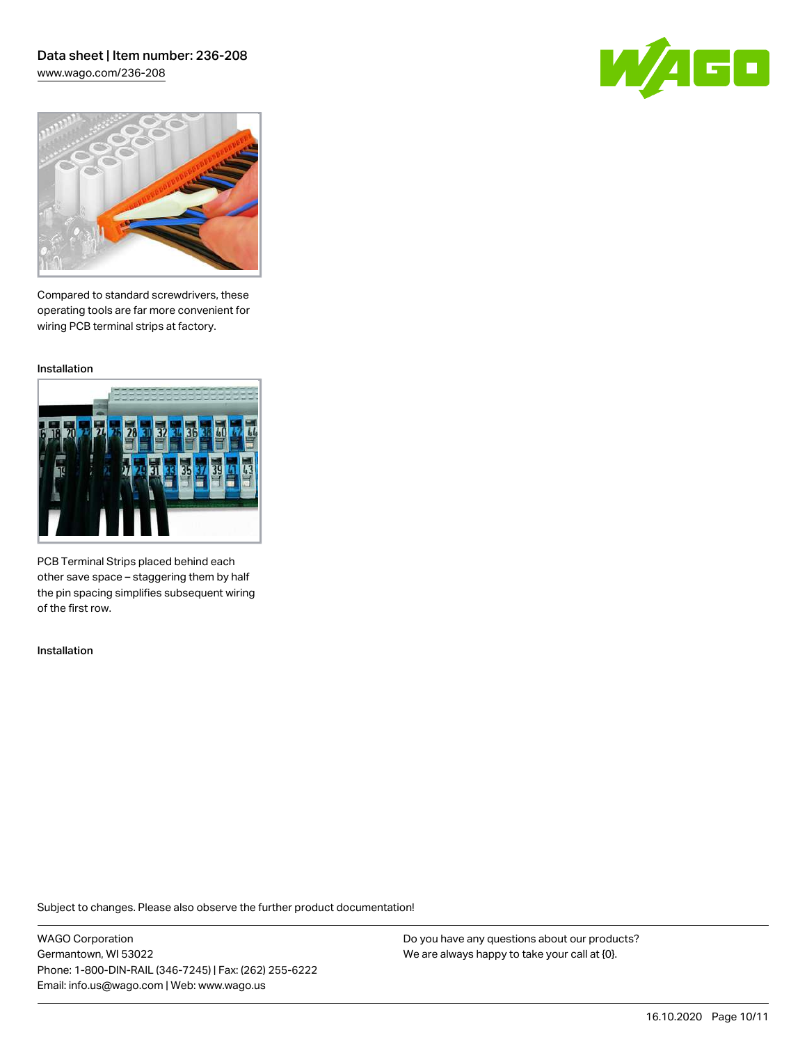### Data sheet | Item number: 236-208 [www.wago.com/236-208](http://www.wago.com/236-208)





Compared to standard screwdrivers, these operating tools are far more convenient for wiring PCB terminal strips at factory.

Installation



PCB Terminal Strips placed behind each other save space – staggering them by half the pin spacing simplifies subsequent wiring of the first row.

Installation

Subject to changes. Please also observe the further product documentation!

WAGO Corporation Germantown, WI 53022 Phone: 1-800-DIN-RAIL (346-7245) | Fax: (262) 255-6222 Email: info.us@wago.com | Web: www.wago.us